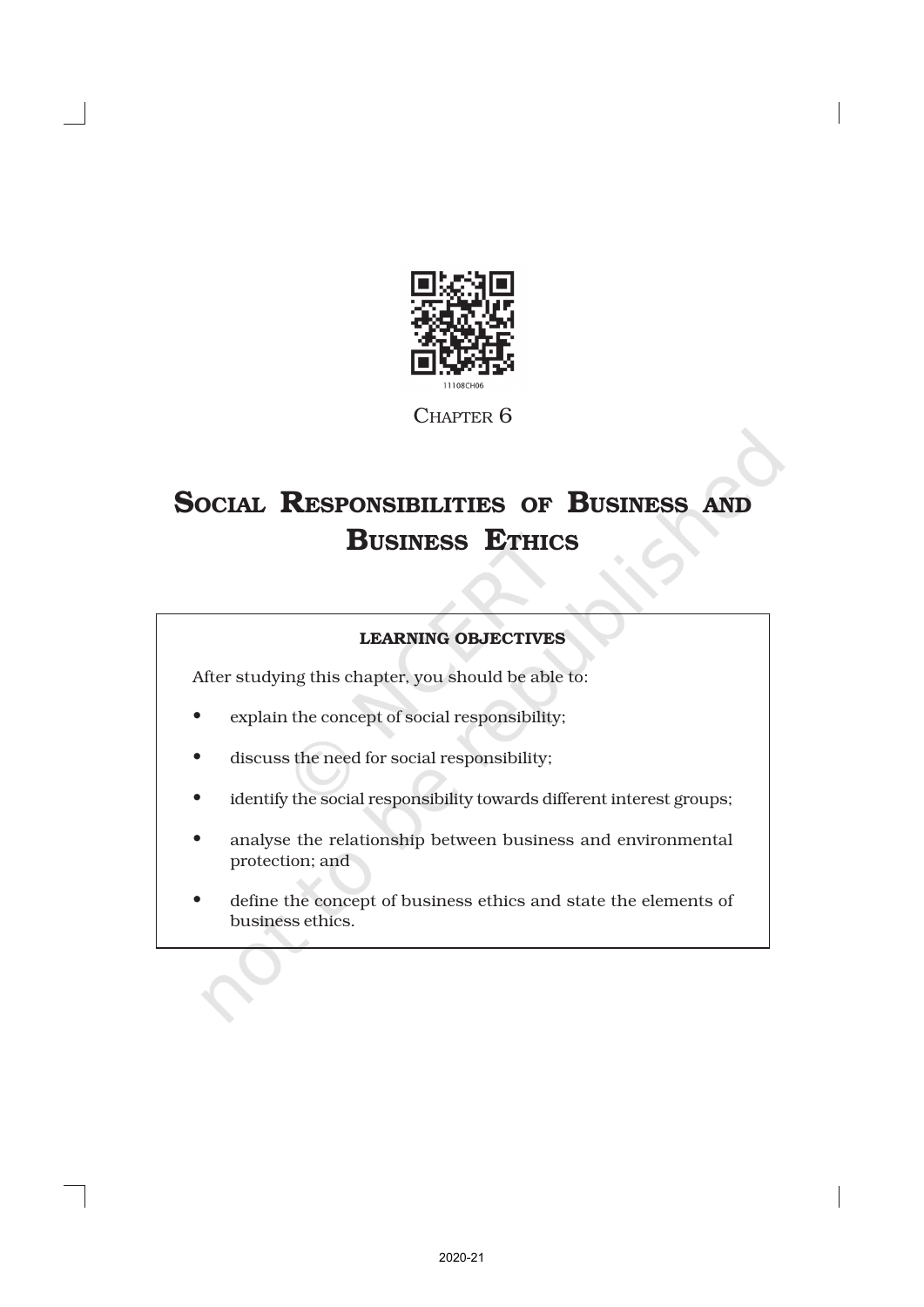

CHAPTER 6

# SOCIAL RESPONSIBILITIES OF BUSINESS AND BUSINESS ETHICS

# LEARNING OBJECTIVES

After studying this chapter, you should be able to:

- explain the concept of social responsibility;
- discuss the need for social responsibility;
- identify the social responsibility towards different interest groups;
- analyse the relationship between business and environmental protection; and
- define the concept of business ethics and state the elements of business ethics.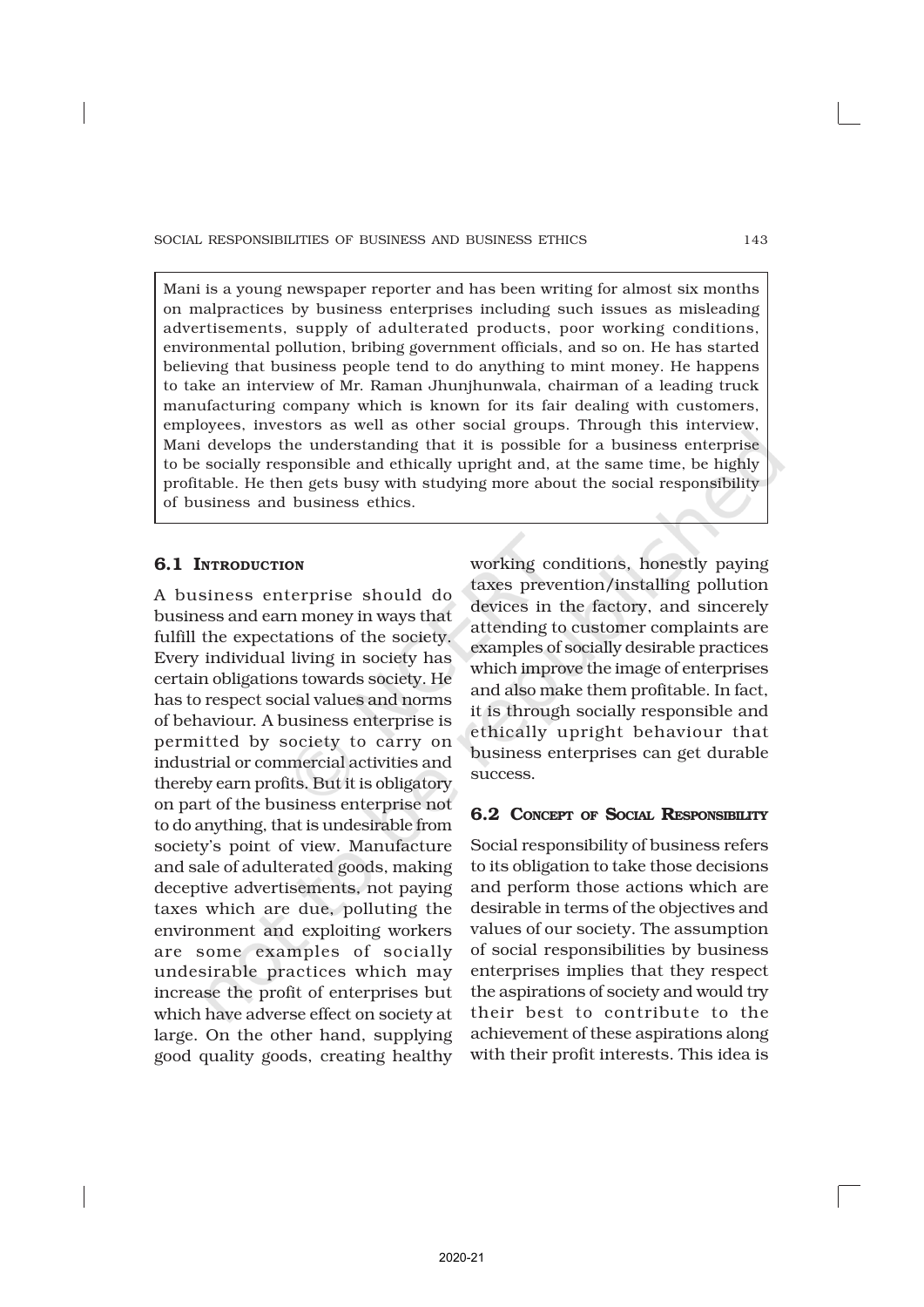Mani is a young newspaper reporter and has been writing for almost six months on malpractices by business enterprises including such issues as misleading advertisements, supply of adulterated products, poor working conditions, environmental pollution, bribing government officials, and so on. He has started believing that business people tend to do anything to mint money. He happens to take an interview of Mr. Raman Jhunjhunwala, chairman of a leading truck manufacturing company which is known for its fair dealing with customers, employees, investors as well as other social groups. Through this interview, Mani develops the understanding that it is possible for a business enterprise to be socially responsible and ethically upright and, at the same time, be highly profitable. He then gets busy with studying more about the social responsibility of business and business ethics.

# **6.1 INTRODUCTION**

A business enterprise should do business and earn money in ways that fulfill the expectations of the society. Every individual living in society has certain obligations towards society. He has to respect social values and norms of behaviour. A business enterprise is permitted by society to carry on industrial or commercial activities and thereby earn profits. But it is obligatory on part of the business enterprise not to do anything, that is undesirable from society's point of view. Manufacture and sale of adulterated goods, making deceptive advertisements, not paying taxes which are due, polluting the environment and exploiting workers are some examples of socially undesirable practices which may increase the profit of enterprises but which have adverse effect on society at large. On the other hand, supplying good quality goods, creating healthy working conditions, honestly paying taxes prevention/installing pollution devices in the factory, and sincerely attending to customer complaints are examples of socially desirable practices which improve the image of enterprises and also make them profitable. In fact, it is through socially responsible and ethically upright behaviour that business enterprises can get durable success.

# 6.2 CONCEPT OF SOCIAL RESPONSIBILITY

Social responsibility of business refers to its obligation to take those decisions and perform those actions which are desirable in terms of the objectives and values of our society. The assumption of social responsibilities by business enterprises implies that they respect the aspirations of society and would try their best to contribute to the achievement of these aspirations along with their profit interests. This idea is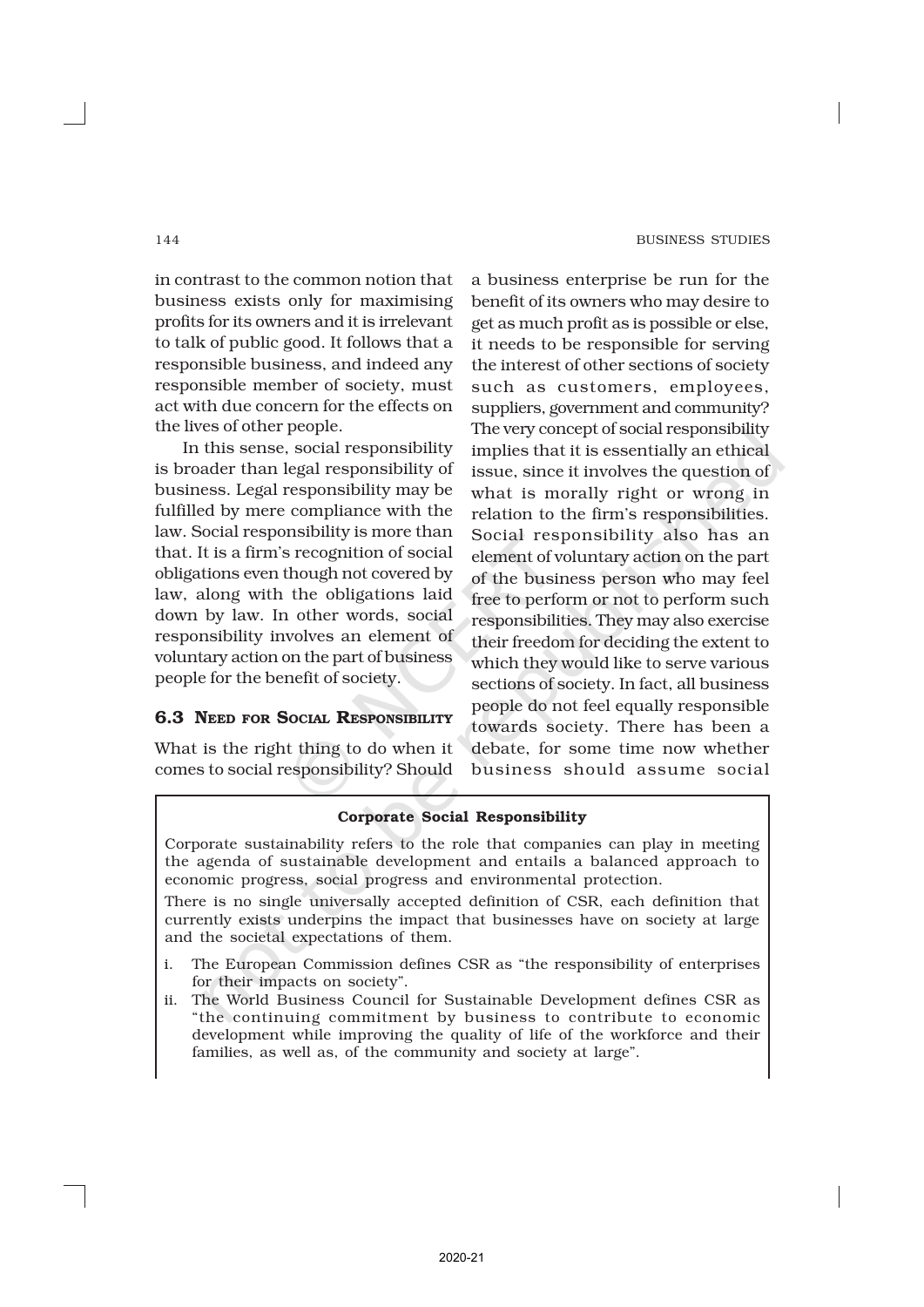in contrast to the common notion that business exists only for maximising profits for its owners and it is irrelevant to talk of public good. It follows that a responsible business, and indeed any responsible member of society, must act with due concern for the effects on the lives of other people.

In this sense, social responsibility is broader than legal responsibility of business. Legal responsibility may be fulfilled by mere compliance with the law. Social responsibility is more than that. It is a firm's recognition of social obligations even though not covered by law, along with the obligations laid down by law. In other words, social responsibility involves an element of voluntary action on the part of business people for the benefit of society.

# 6.3 NEED FOR SOCIAL RESPONSIBILITY

What is the right thing to do when it comes to social responsibility? Should

a business enterprise be run for the benefit of its owners who may desire to get as much profit as is possible or else, it needs to be responsible for serving the interest of other sections of society such as customers, employees, suppliers, government and community? The very concept of social responsibility implies that it is essentially an ethical issue, since it involves the question of what is morally right or wrong in relation to the firm's responsibilities. Social responsibility also has an element of voluntary action on the part of the business person who may feel free to perform or not to perform such responsibilities. They may also exercise their freedom for deciding the extent to which they would like to serve various sections of society. In fact, all business people do not feel equally responsible towards society. There has been a debate, for some time now whether business should assume social

### Corporate Social Responsibility

Corporate sustainability refers to the role that companies can play in meeting the agenda of sustainable development and entails a balanced approach to economic progress, social progress and environmental protection.

There is no single universally accepted definition of CSR, each definition that currently exists underpins the impact that businesses have on society at large and the societal expectations of them.

- i. The European Commission defines CSR as "the responsibility of enterprises for their impacts on society".
- ii. The World Business Council for Sustainable Development defines CSR as "the continuing commitment by business to contribute to economic development while improving the quality of life of the workforce and their families, as well as, of the community and society at large".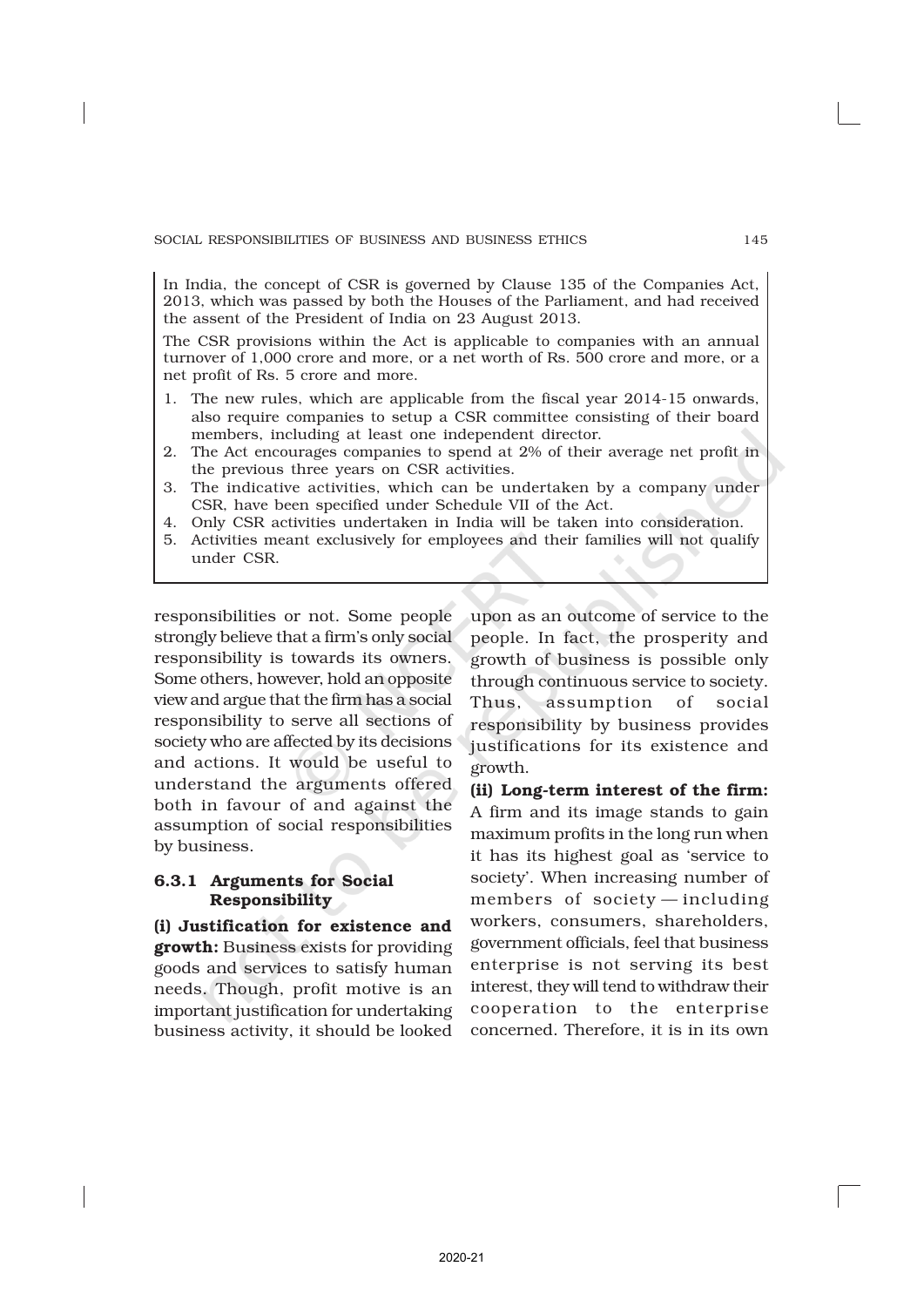In India, the concept of CSR is governed by Clause 135 of the Companies Act, 2013, which was passed by both the Houses of the Parliament, and had received the assent of the President of India on 23 August 2013.

The CSR provisions within the Act is applicable to companies with an annual turnover of 1,000 crore and more, or a net worth of Rs. 500 crore and more, or a net profit of Rs. 5 crore and more.

- 1. The new rules, which are applicable from the fiscal year 2014-15 onwards, also require companies to setup a CSR committee consisting of their board members, including at least one independent director.
- 2. The Act encourages companies to spend at 2% of their average net profit in the previous three years on CSR activities.
- 3. The indicative activities, which can be undertaken by a company under CSR, have been specified under Schedule VII of the Act.
- 4. Only CSR activities undertaken in India will be taken into consideration.
- 5. Activities meant exclusively for employees and their families will not qualify under CSR.

responsibilities or not. Some people strongly believe that a firm's only social responsibility is towards its owners. Some others, however, hold an opposite view and argue that the firm has a social responsibility to serve all sections of society who are affected by its decisions and actions. It would be useful to understand the arguments offered both in favour of and against the assumption of social responsibilities by business.

# 6.3.1 Arguments for Social Responsibility

(i) Justification for existence and growth: Business exists for providing goods and services to satisfy human needs. Though, profit motive is an important justification for undertaking business activity, it should be looked

upon as an outcome of service to the people. In fact, the prosperity and growth of business is possible only through continuous service to society. Thus, assumption of social responsibility by business provides justifications for its existence and growth.

(ii) Long-term interest of the firm: A firm and its image stands to gain maximum profits in the long run when it has its highest goal as 'service to society'. When increasing number of members of society — including workers, consumers, shareholders, government officials, feel that business enterprise is not serving its best interest, they will tend to withdraw their cooperation to the enterprise concerned. Therefore, it is in its own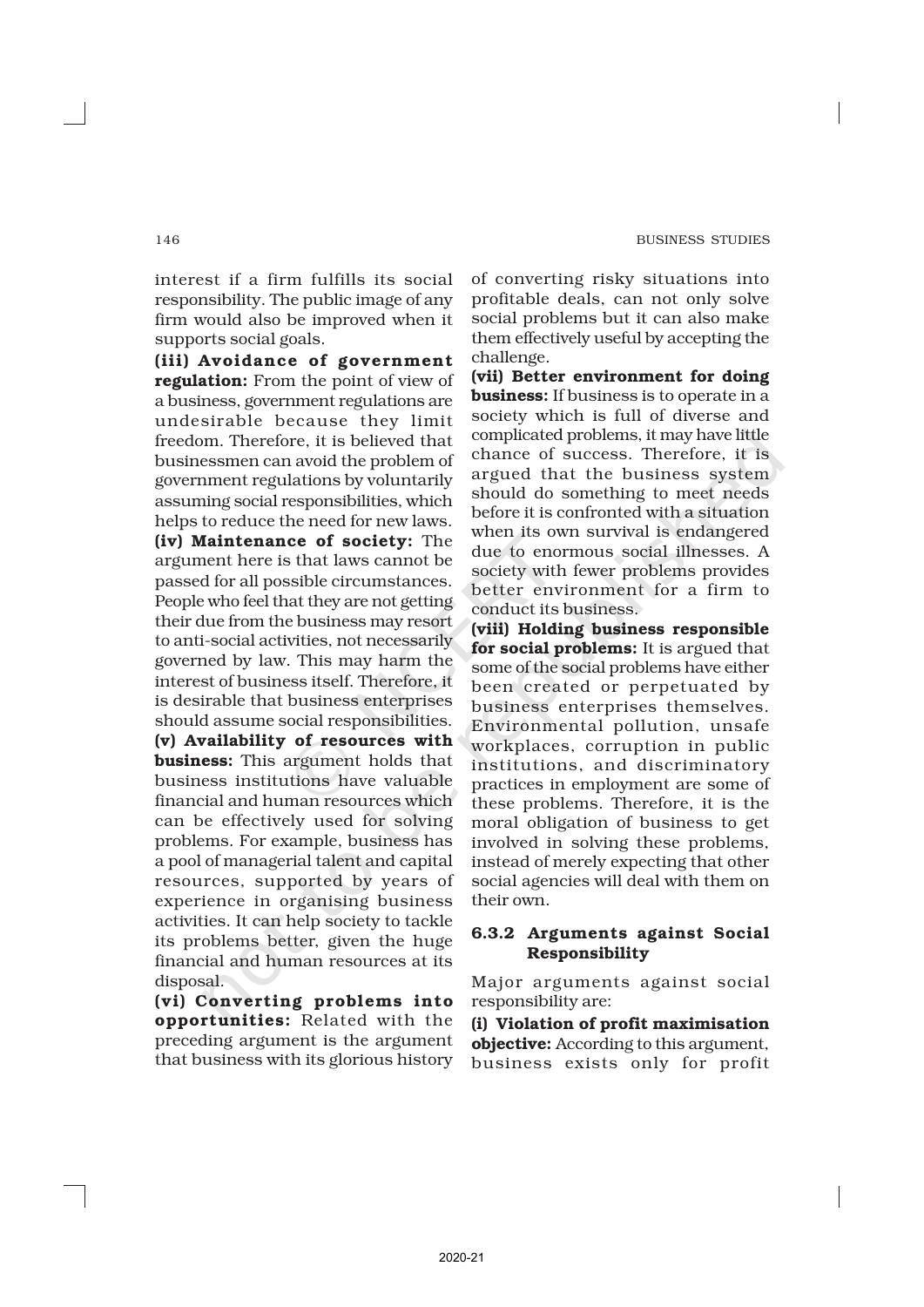interest if a firm fulfills its social responsibility. The public image of any firm would also be improved when it supports social goals.

(iii) Avoidance of government regulation: From the point of view of a business, government regulations are undesirable because they limit freedom. Therefore, it is believed that businessmen can avoid the problem of government regulations by voluntarily assuming social responsibilities, which helps to reduce the need for new laws. (iv) Maintenance of society: The argument here is that laws cannot be passed for all possible circumstances. People who feel that they are not getting their due from the business may resort to anti-social activities, not necessarily governed by law. This may harm the interest of business itself. Therefore, it is desirable that business enterprises should assume social responsibilities. (v) Availability of resources with **business:** This argument holds that business institutions have valuable financial and human resources which can be effectively used for solving problems. For example, business has a pool of managerial talent and capital resources, supported by years of experience in organising business activities. It can help society to tackle its problems better, given the huge financial and human resources at its disposal.

(vi) Converting problems into opportunities: Related with the preceding argument is the argument that business with its glorious history of converting risky situations into profitable deals, can not only solve social problems but it can also make them effectively useful by accepting the challenge.

(vii) Better environment for doing **business:** If business is to operate in a society which is full of diverse and complicated problems, it may have little chance of success. Therefore, it is argued that the business system should do something to meet needs before it is confronted with a situation when its own survival is endangered due to enormous social illnesses. A society with fewer problems provides better environment for a firm to conduct its business.

(viii) Holding business responsible for social problems: It is argued that some of the social problems have either been created or perpetuated by business enterprises themselves. Environmental pollution, unsafe workplaces, corruption in public institutions, and discriminatory practices in employment are some of these problems. Therefore, it is the moral obligation of business to get involved in solving these problems, instead of merely expecting that other social agencies will deal with them on their own.

# 6.3.2 Arguments against Social Responsibility

Major arguments against social responsibility are:

(i) Violation of profit maximisation objective: According to this argument, business exists only for profit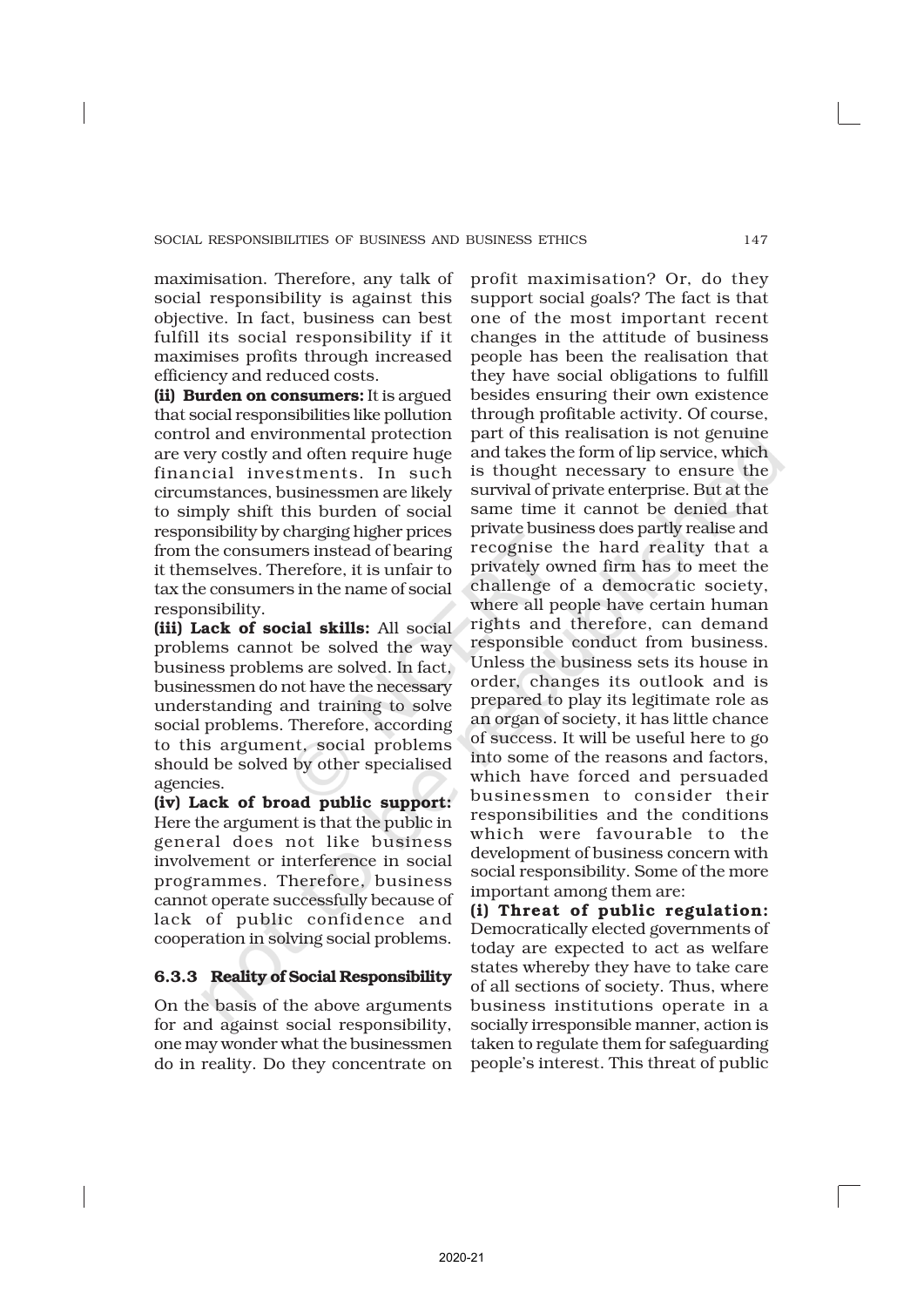maximisation. Therefore, any talk of social responsibility is against this objective. In fact, business can best fulfill its social responsibility if it maximises profits through increased efficiency and reduced costs.

(ii) Burden on consumers: It is argued that social responsibilities like pollution control and environmental protection are very costly and often require huge financial investments. In such circumstances, businessmen are likely to simply shift this burden of social responsibility by charging higher prices from the consumers instead of bearing it themselves. Therefore, it is unfair to tax the consumers in the name of social responsibility.

(iii) Lack of social skills: All social problems cannot be solved the way business problems are solved. In fact, businessmen do not have the necessary understanding and training to solve social problems. Therefore, according to this argument, social problems should be solved by other specialised agencies.

(iv) Lack of broad public support: Here the argument is that the public in general does not like business involvement or interference in social programmes. Therefore, business cannot operate successfully because of lack of public confidence and cooperation in solving social problems.

# 6.3.3 Reality of Social Responsibility

On the basis of the above arguments for and against social responsibility, one may wonder what the businessmen do in reality. Do they concentrate on

profit maximisation? Or, do they support social goals? The fact is that one of the most important recent changes in the attitude of business people has been the realisation that they have social obligations to fulfill besides ensuring their own existence through profitable activity. Of course, part of this realisation is not genuine and takes the form of lip service, which is thought necessary to ensure the survival of private enterprise. But at the same time it cannot be denied that private business does partly realise and recognise the hard reality that a privately owned firm has to meet the challenge of a democratic society, where all people have certain human rights and therefore, can demand responsible conduct from business. Unless the business sets its house in order, changes its outlook and is prepared to play its legitimate role as an organ of society, it has little chance of success. It will be useful here to go into some of the reasons and factors, which have forced and persuaded businessmen to consider their responsibilities and the conditions which were favourable to the development of business concern with social responsibility. Some of the more important among them are:

(i) Threat of public regulation: Democratically elected governments of today are expected to act as welfare states whereby they have to take care of all sections of society. Thus, where business institutions operate in a socially irresponsible manner, action is taken to regulate them for safeguarding people's interest. This threat of public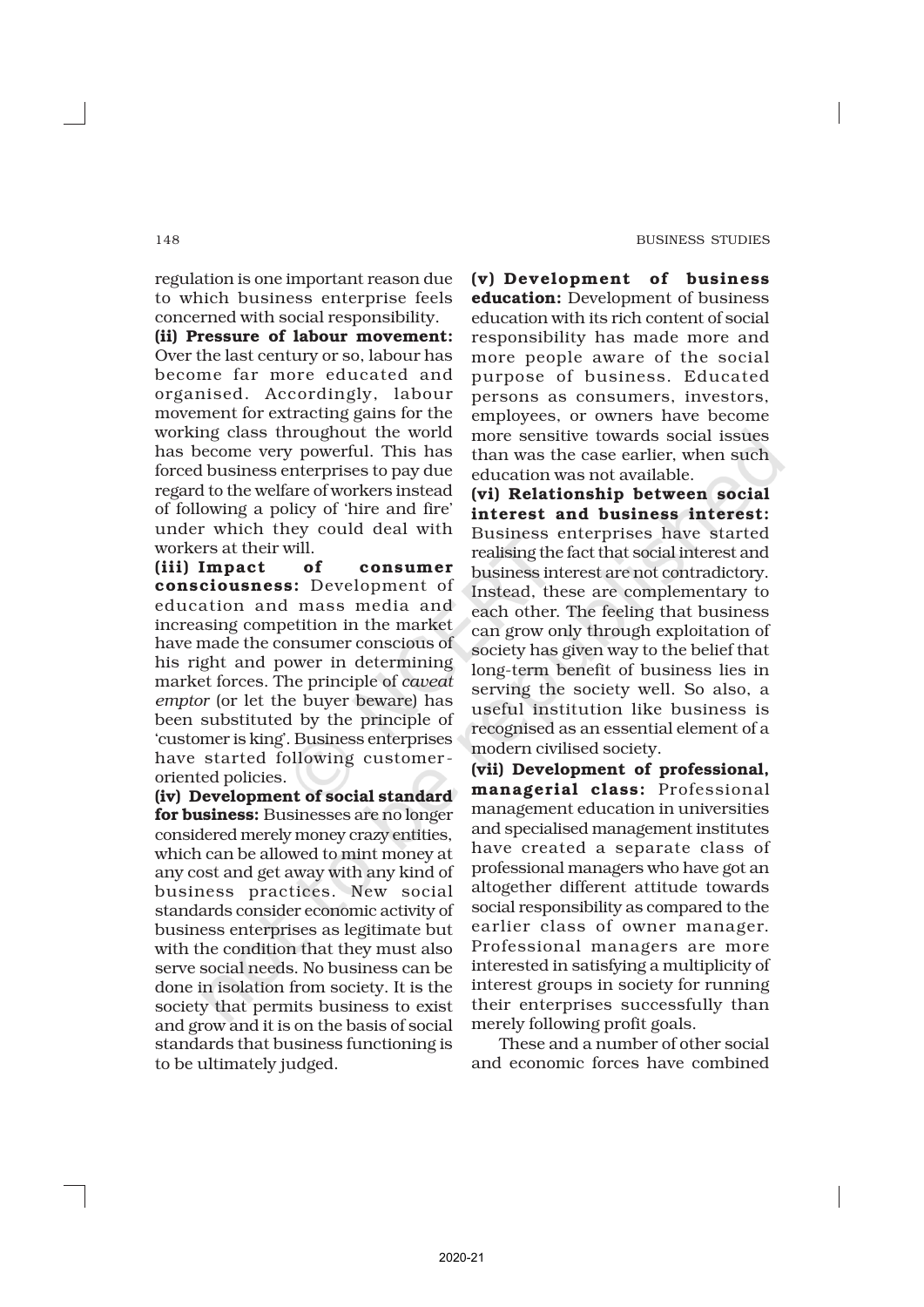regulation is one important reason due to which business enterprise feels concerned with social responsibility.

(ii) Pressure of labour movement: Over the last century or so, labour has become far more educated and organised. Accordingly, labour movement for extracting gains for the working class throughout the world has become very powerful. This has forced business enterprises to pay due regard to the welfare of workers instead of following a policy of 'hire and fire' under which they could deal with workers at their will.

(iii) Impact of consumer consciousness: Development of education and mass media and increasing competition in the market have made the consumer conscious of his right and power in determining market forces. The principle of *caveat emptor* (or let the buyer beware) has been substituted by the principle of 'customer is king'. Business enterprises have started following customer oriented policies.

(iv) Development of social standard for business: Businesses are no longer considered merely money crazy entities, which can be allowed to mint money at any cost and get away with any kind of business practices. New social standards consider economic activity of business enterprises as legitimate but with the condition that they must also serve social needs. No business can be done in isolation from society. It is the society that permits business to exist and grow and it is on the basis of social standards that business functioning is to be ultimately judged.

(v) Development of business education: Development of business education with its rich content of social responsibility has made more and more people aware of the social purpose of business. Educated persons as consumers, investors, employees, or owners have become more sensitive towards social issues than was the case earlier, when such education was not available.

(vi) Relationship between social interest and business interest: Business enterprises have started realising the fact that social interest and business interest are not contradictory. Instead, these are complementary to each other. The feeling that business can grow only through exploitation of society has given way to the belief that long-term benefit of business lies in serving the society well. So also, a useful institution like business is recognised as an essential element of a modern civilised society.

(vii) Development of professional, managerial class: Professional management education in universities and specialised management institutes have created a separate class of professional managers who have got an altogether different attitude towards social responsibility as compared to the earlier class of owner manager. Professional managers are more interested in satisfying a multiplicity of interest groups in society for running their enterprises successfully than merely following profit goals.

These and a number of other social and economic forces have combined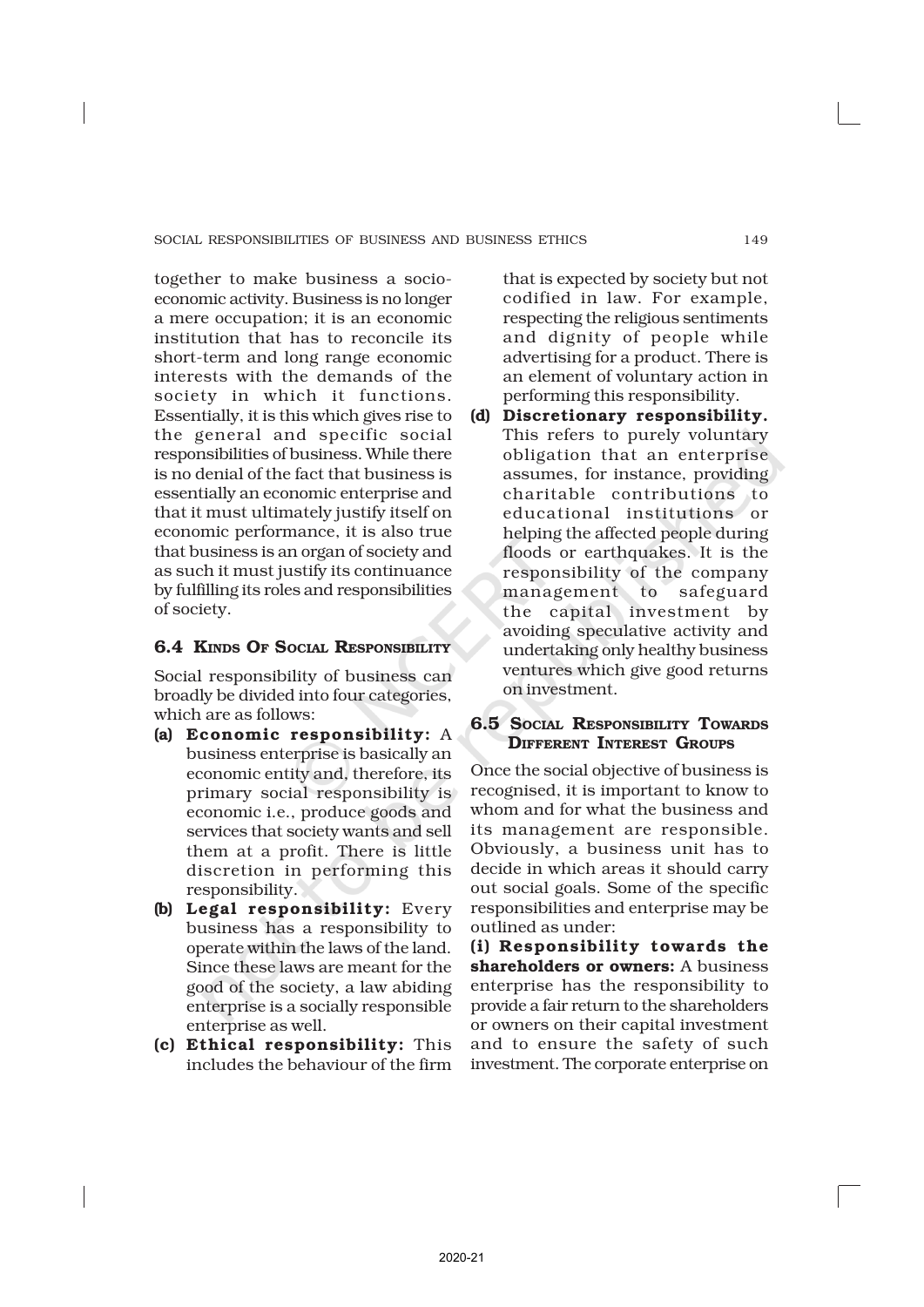together to make business a socioeconomic activity. Business is no longer a mere occupation; it is an economic institution that has to reconcile its short-term and long range economic interests with the demands of the society in which it functions. Essentially, it is this which gives rise to the general and specific social responsibilities of business. While there is no denial of the fact that business is essentially an economic enterprise and that it must ultimately justify itself on economic performance, it is also true that business is an organ of society and as such it must justify its continuance by fulfilling its roles and responsibilities of society.

# 6.4 KINDS OF SOCIAL RESPONSIBILITY

Social responsibility of business can broadly be divided into four categories, which are as follows:

- (a) Economic responsibility: A business enterprise is basically an economic entity and, therefore, its primary social responsibility is economic i.e., produce goods and services that society wants and sell them at a profit. There is little discretion in performing this responsibility.
- (b) Legal responsibility: Every business has a responsibility to operate within the laws of the land. Since these laws are meant for the good of the society, a law abiding enterprise is a socially responsible enterprise as well.
- (c) Ethical responsibility: This includes the behaviour of the firm

that is expected by society but not codified in law. For example, respecting the religious sentiments and dignity of people while advertising for a product. There is an element of voluntary action in performing this responsibility.

(d) Discretionary responsibility. This refers to purely voluntary obligation that an enterprise assumes, for instance, providing charitable contributions to educational institutions or helping the affected people during floods or earthquakes. It is the responsibility of the company management to safeguard the capital investment by avoiding speculative activity and undertaking only healthy business ventures which give good returns on investment.

# 6.5 SOCIAL RESPONSIBILITY TOWARDS **DIFFERENT INTEREST GROUPS**

Once the social objective of business is recognised, it is important to know to whom and for what the business and its management are responsible. Obviously, a business unit has to decide in which areas it should carry out social goals. Some of the specific responsibilities and enterprise may be outlined as under:

(i) Responsibility towards the shareholders or owners: A business enterprise has the responsibility to provide a fair return to the shareholders or owners on their capital investment and to ensure the safety of such investment. The corporate enterprise on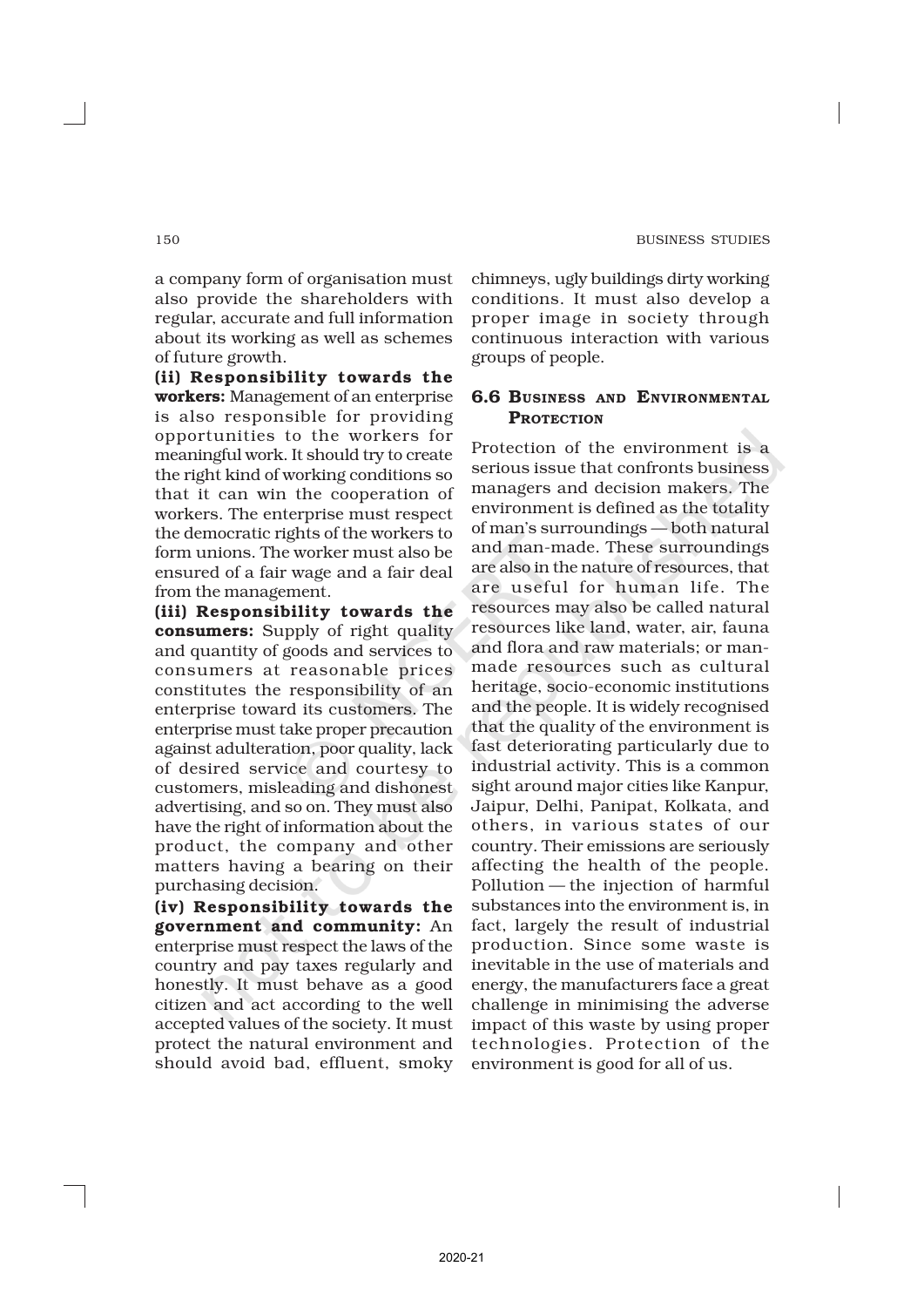a company form of organisation must also provide the shareholders with regular, accurate and full information about its working as well as schemes of future growth.

(ii) Responsibility towards the workers: Management of an enterprise is also responsible for providing opportunities to the workers for meaningful work. It should try to create the right kind of working conditions so that it can win the cooperation of workers. The enterprise must respect the democratic rights of the workers to form unions. The worker must also be ensured of a fair wage and a fair deal from the management.

(iii) Responsibility towards the consumers: Supply of right quality and quantity of goods and services to consumers at reasonable prices constitutes the responsibility of an enterprise toward its customers. The enterprise must take proper precaution against adulteration, poor quality, lack of desired service and courtesy to customers, misleading and dishonest advertising, and so on. They must also have the right of information about the product, the company and other matters having a bearing on their purchasing decision.

(iv) Responsibility towards the government and community: An enterprise must respect the laws of the country and pay taxes regularly and honestly. It must behave as a good citizen and act according to the well accepted values of the society. It must protect the natural environment and should avoid bad, effluent, smoky chimneys, ugly buildings dirty working conditions. It must also develop a proper image in society through continuous interaction with various groups of people.

# 6.6 BUSINESS AND ENVIRONMENTAL **PROTECTION**

Protection of the environment is a serious issue that confronts business managers and decision makers. The environment is defined as the totality of man's surroundings — both natural and man-made. These surroundings are also in the nature of resources, that are useful for human life. The resources may also be called natural resources like land, water, air, fauna and flora and raw materials; or manmade resources such as cultural heritage, socio-economic institutions and the people. It is widely recognised that the quality of the environment is fast deteriorating particularly due to industrial activity. This is a common sight around major cities like Kanpur, Jaipur, Delhi, Panipat, Kolkata, and others, in various states of our country. Their emissions are seriously affecting the health of the people. Pollution — the injection of harmful substances into the environment is, in fact, largely the result of industrial production. Since some waste is inevitable in the use of materials and energy, the manufacturers face a great challenge in minimising the adverse impact of this waste by using proper technologies. Protection of the environment is good for all of us.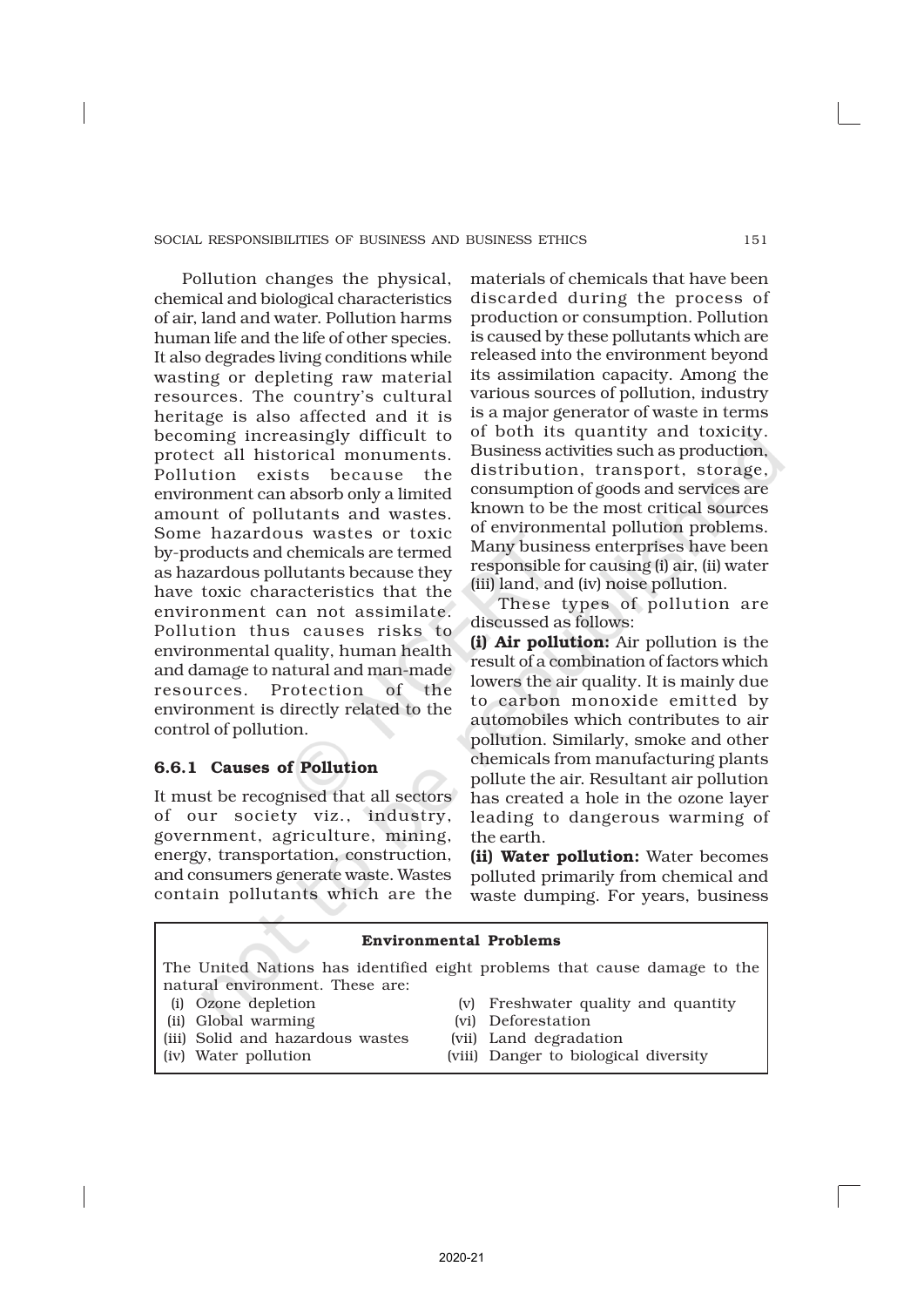Pollution changes the physical, chemical and biological characteristics of air, land and water. Pollution harms human life and the life of other species. It also degrades living conditions while wasting or depleting raw material resources. The country's cultural heritage is also affected and it is becoming increasingly difficult to protect all historical monuments. Pollution exists because the environment can absorb only a limited amount of pollutants and wastes. Some hazardous wastes or toxic by-products and chemicals are termed as hazardous pollutants because they have toxic characteristics that the environment can not assimilate. Pollution thus causes risks to environmental quality, human health and damage to natural and man-made resources. Protection of the environment is directly related to the control of pollution.

# 6.6.1 Causes of Pollution

It must be recognised that all sectors of our society viz., industry, government, agriculture, mining, energy, transportation, construction, and consumers generate waste. Wastes contain pollutants which are the

materials of chemicals that have been discarded during the process of production or consumption. Pollution is caused by these pollutants which are released into the environment beyond its assimilation capacity. Among the various sources of pollution, industry is a major generator of waste in terms of both its quantity and toxicity. Business activities such as production, distribution, transport, storage, consumption of goods and services are known to be the most critical sources of environmental pollution problems. Many business enterprises have been responsible for causing (i) air, (ii) water (iii) land, and (iv) noise pollution.

These types of pollution are discussed as follows:

(i) Air pollution: Air pollution is the result of a combination of factors which lowers the air quality. It is mainly due to carbon monoxide emitted by automobiles which contributes to air pollution. Similarly, smoke and other chemicals from manufacturing plants pollute the air. Resultant air pollution has created a hole in the ozone layer leading to dangerous warming of the earth.

(ii) Water pollution: Water becomes polluted primarily from chemical and waste dumping. For years, business

| <b>Environmental Problems</b>    |  |                                                                           |
|----------------------------------|--|---------------------------------------------------------------------------|
| natural environment. These are:  |  | The United Nations has identified eight problems that cause damage to the |
| (i) Ozone depletion              |  | (v) Freshwater quality and quantity                                       |
| (ii) Global warming              |  | (vi) Deforestation                                                        |
| (iii) Solid and hazardous wastes |  | (vii) Land degradation                                                    |
| (iv) Water pollution             |  | (viii) Danger to biological diversity                                     |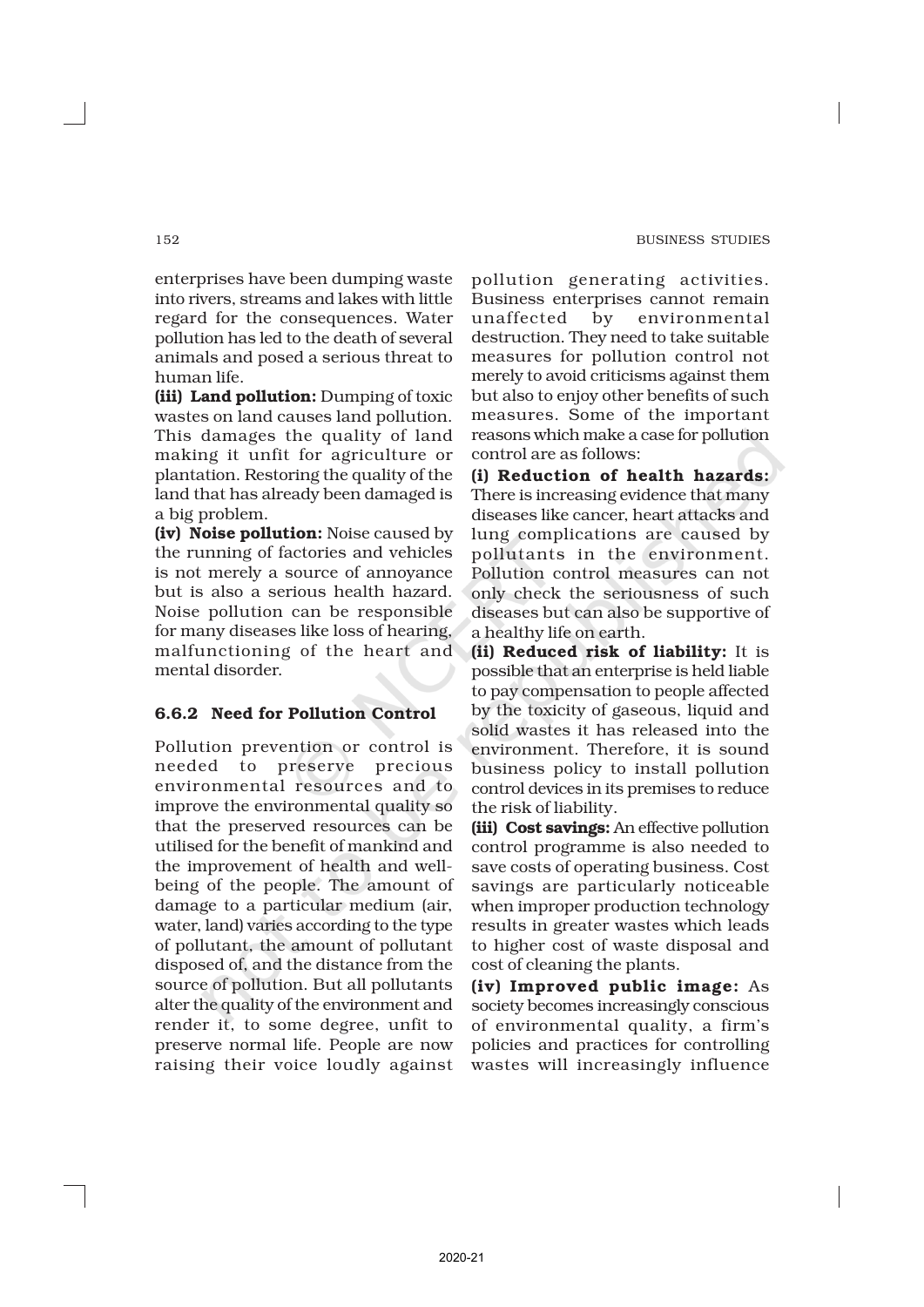enterprises have been dumping waste into rivers, streams and lakes with little regard for the consequences. Water pollution has led to the death of several animals and posed a serious threat to human life.

(iii) Land pollution: Dumping of toxic wastes on land causes land pollution. This damages the quality of land making it unfit for agriculture or plantation. Restoring the quality of the land that has already been damaged is a big problem.

(iv) Noise pollution: Noise caused by the running of factories and vehicles is not merely a source of annoyance but is also a serious health hazard. Noise pollution can be responsible for many diseases like loss of hearing, malfunctioning of the heart and mental disorder.

# 6.6.2 Need for Pollution Control

Pollution prevention or control is needed to preserve precious environmental resources and to improve the environmental quality so that the preserved resources can be utilised for the benefit of mankind and the improvement of health and wellbeing of the people. The amount of damage to a particular medium (air, water, land) varies according to the type of pollutant, the amount of pollutant disposed of, and the distance from the source of pollution. But all pollutants alter the quality of the environment and render it, to some degree, unfit to preserve normal life. People are now raising their voice loudly against pollution generating activities. Business enterprises cannot remain unaffected by environmental destruction. They need to take suitable measures for pollution control not merely to avoid criticisms against them but also to enjoy other benefits of such measures. Some of the important reasons which make a case for pollution control are as follows:

(i) Reduction of health hazards: There is increasing evidence that many diseases like cancer, heart attacks and lung complications are caused by pollutants in the environment. Pollution control measures can not only check the seriousness of such diseases but can also be supportive of a healthy life on earth.

(ii) Reduced risk of liability: It is possible that an enterprise is held liable to pay compensation to people affected by the toxicity of gaseous, liquid and solid wastes it has released into the environment. Therefore, it is sound business policy to install pollution control devices in its premises to reduce the risk of liability.

(iii) Cost savings: An effective pollution control programme is also needed to save costs of operating business. Cost savings are particularly noticeable when improper production technology results in greater wastes which leads to higher cost of waste disposal and cost of cleaning the plants.

(iv) Improved public image: As society becomes increasingly conscious of environmental quality, a firm's policies and practices for controlling wastes will increasingly influence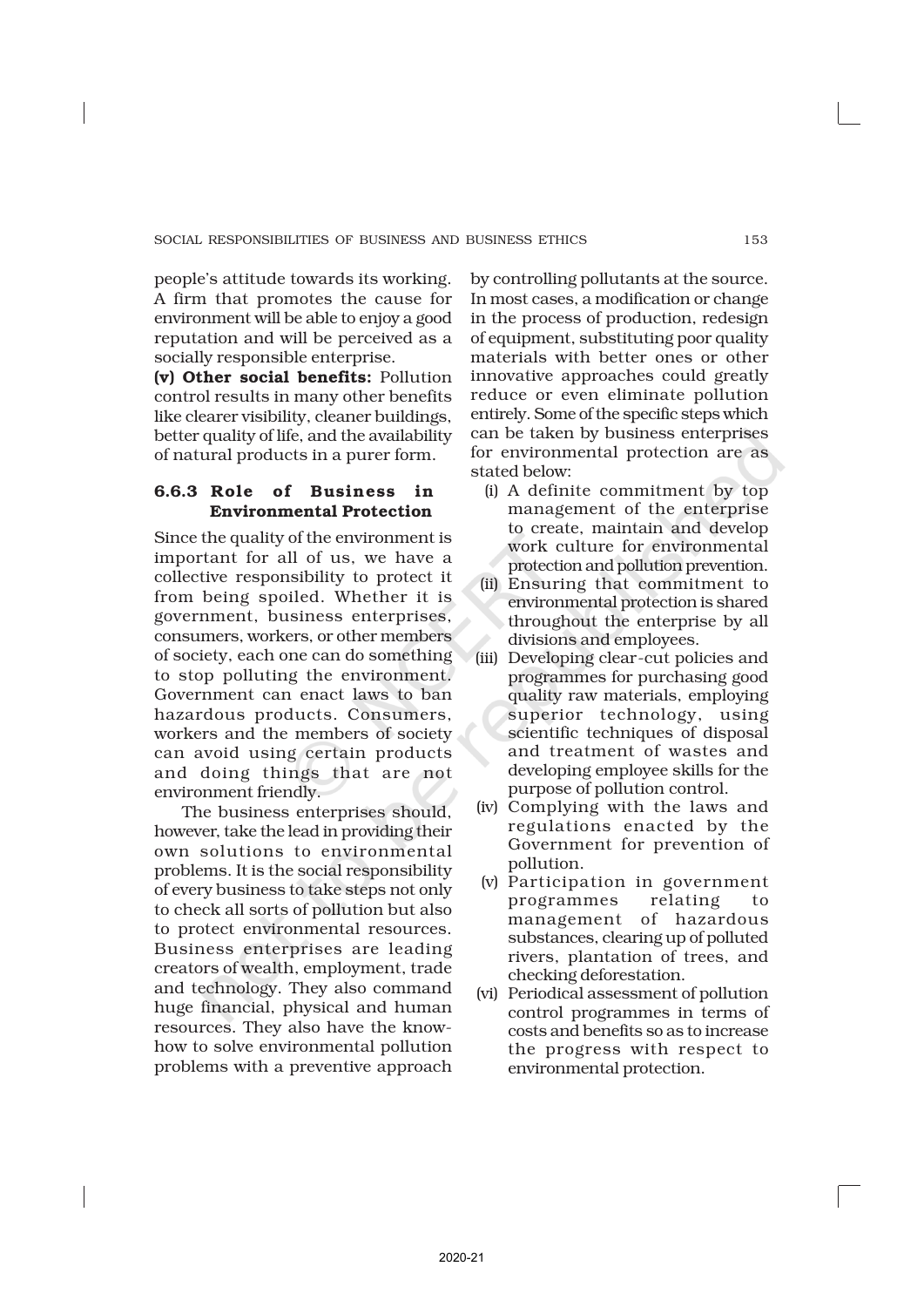people's attitude towards its working. A firm that promotes the cause for environment will be able to enjoy a good reputation and will be perceived as a socially responsible enterprise.

(v) Other social benefits: Pollution control results in many other benefits like clearer visibility, cleaner buildings, better quality of life, and the availability of natural products in a purer form.

# 6.6.3 Role of Business in Environmental Protection

Since the quality of the environment is important for all of us, we have a collective responsibility to protect it from being spoiled. Whether it is government, business enterprises, consumers, workers, or other members of society, each one can do something to stop polluting the environment. Government can enact laws to ban hazardous products. Consumers, workers and the members of society can avoid using certain products and doing things that are not environment friendly.

The business enterprises should, however, take the lead in providing their own solutions to environmental problems. It is the social responsibility of every business to take steps not only to check all sorts of pollution but also to protect environmental resources. Business enterprises are leading creators of wealth, employment, trade and technology. They also command huge financial, physical and human resources. They also have the knowhow to solve environmental pollution problems with a preventive approach

by controlling pollutants at the source. In most cases, a modification or change in the process of production, redesign of equipment, substituting poor quality materials with better ones or other innovative approaches could greatly reduce or even eliminate pollution entirely. Some of the specific steps which can be taken by business enterprises for environmental protection are as stated below:

- (i) A definite commitment by top management of the enterprise to create, maintain and develop work culture for environmental protection and pollution prevention.
- (ii) Ensuring that commitment to environmental protection is shared throughout the enterprise by all divisions and employees.
- (iii) Developing clear-cut policies and programmes for purchasing good quality raw materials, employing superior technology, using scientific techniques of disposal and treatment of wastes and developing employee skills for the purpose of pollution control.
- (iv) Complying with the laws and regulations enacted by the Government for prevention of pollution.
- (v) Participation in government programmes relating to management of hazardous substances, clearing up of polluted rivers, plantation of trees, and checking deforestation.
- (vi) Periodical assessment of pollution control programmes in terms of costs and benefits so as to increase the progress with respect to environmental protection.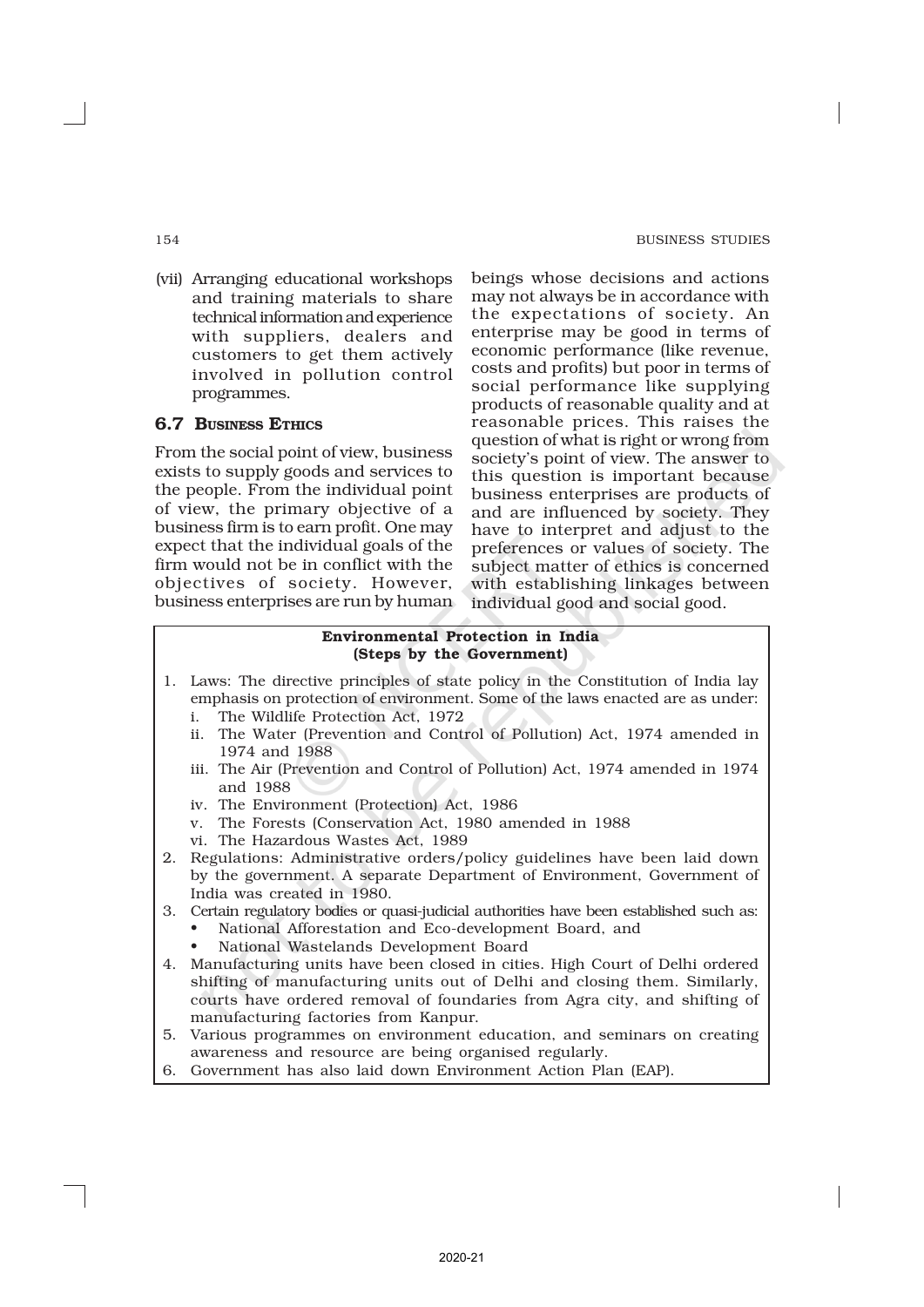(vii) Arranging educational workshops and training materials to share technical information and experience with suppliers, dealers and customers to get them actively involved in pollution control programmes.

# 6.7 BUSINESS ETHICS

From the social point of view, business exists to supply goods and services to the people. From the individual point of view, the primary objective of a business firm is to earn profit. One may expect that the individual goals of the firm would not be in conflict with the objectives of society. However, business enterprises are run by human beings whose decisions and actions may not always be in accordance with the expectations of society. An enterprise may be good in terms of economic performance (like revenue, costs and profits) but poor in terms of social performance like supplying products of reasonable quality and at reasonable prices. This raises the question of what is right or wrong from society's point of view. The answer to this question is important because business enterprises are products of and are influenced by society. They have to interpret and adjust to the preferences or values of society. The subject matter of ethics is concerned with establishing linkages between individual good and social good.

### Environmental Protection in India (Steps by the Government)

- 1. Laws: The directive principles of state policy in the Constitution of India lay emphasis on protection of environment. Some of the laws enacted are as under:
	- i. The Wildlife Protection Act, 1972
	- ii. The Water (Prevention and Control of Pollution) Act, 1974 amended in 1974 and 1988
	- iii. The Air (Prevention and Control of Pollution) Act, 1974 amended in 1974 and 1988
	- iv. The Environment (Protection) Act, 1986
	- v. The Forests (Conservation Act, 1980 amended in 1988
	- vi. The Hazardous Wastes Act, 1989
- 2. Regulations: Administrative orders/policy guidelines have been laid down by the government. A separate Department of Environment, Government of India was created in 1980.
- 3. Certain regulatory bodies or quasi-judicial authorities have been established such as:
	- National Afforestation and Eco-development Board, and
	- National Wastelands Development Board
- 4. Manufacturing units have been closed in cities. High Court of Delhi ordered shifting of manufacturing units out of Delhi and closing them. Similarly, courts have ordered removal of foundaries from Agra city, and shifting of manufacturing factories from Kanpur.
- 5. Various programmes on environment education, and seminars on creating awareness and resource are being organised regularly.
- 6. Government has also laid down Environment Action Plan (EAP).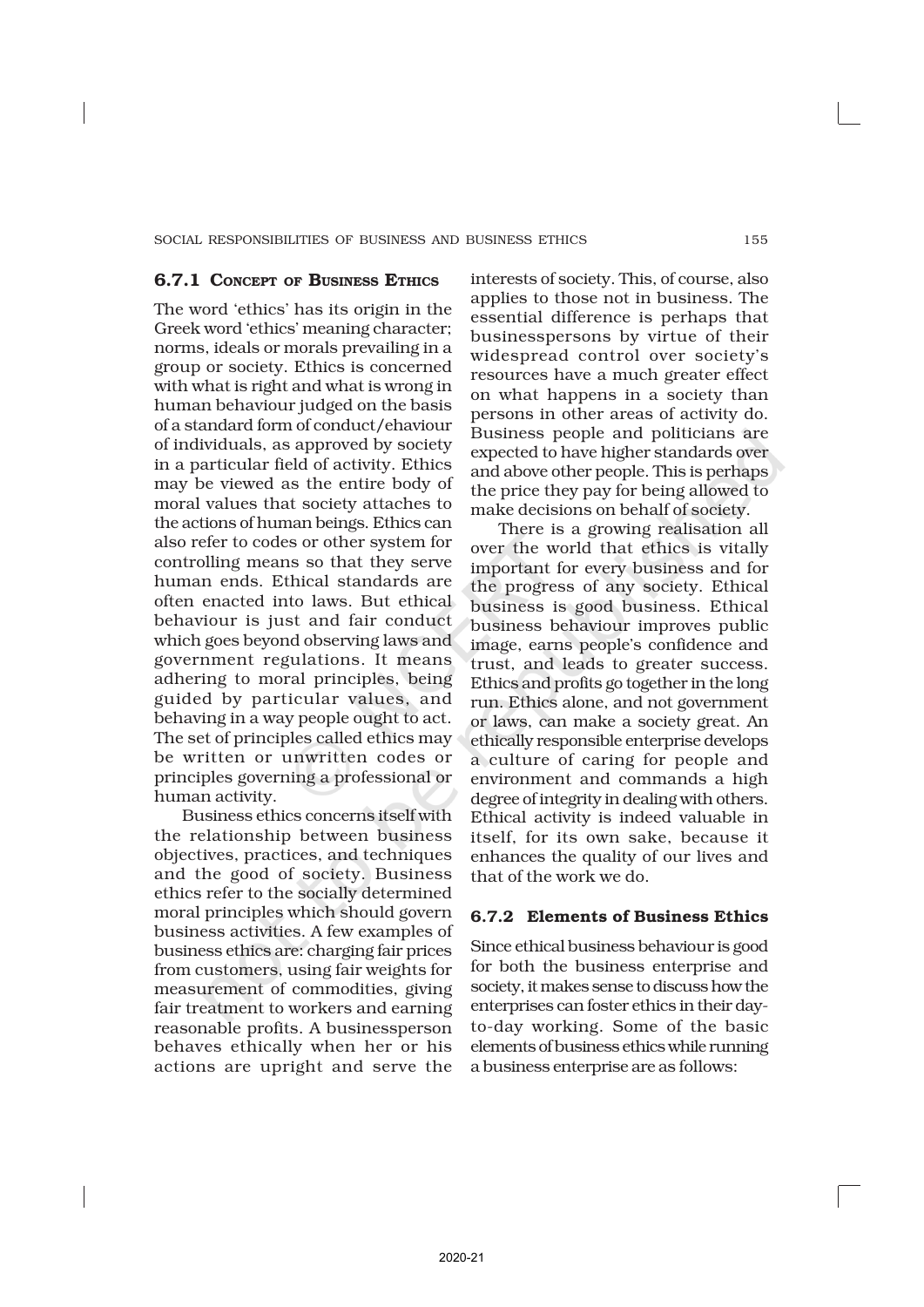### 6.7.1 CONCEPT OF BUSINESS ETHICS

The word 'ethics' has its origin in the Greek word 'ethics' meaning character; norms, ideals or morals prevailing in a group or society. Ethics is concerned with what is right and what is wrong in human behaviour judged on the basis of a standard form of conduct/ehaviour of individuals, as approved by society in a particular field of activity. Ethics may be viewed as the entire body of moral values that society attaches to the actions of human beings. Ethics can also refer to codes or other system for controlling means so that they serve human ends. Ethical standards are often enacted into laws. But ethical behaviour is just and fair conduct which goes beyond observing laws and government regulations. It means adhering to moral principles, being guided by particular values, and behaving in a way people ought to act. The set of principles called ethics may be written or unwritten codes or principles governing a professional or human activity.

Business ethics concerns itself with the relationship between business objectives, practices, and techniques and the good of society. Business ethics refer to the socially determined moral principles which should govern business activities. A few examples of business ethics are: charging fair prices from customers, using fair weights for measurement of commodities, giving fair treatment to workers and earning reasonable profits. A businessperson behaves ethically when her or his actions are upright and serve the

interests of society. This, of course, also applies to those not in business. The essential difference is perhaps that businesspersons by virtue of their widespread control over society's resources have a much greater effect on what happens in a society than persons in other areas of activity do. Business people and politicians are expected to have higher standards over and above other people. This is perhaps the price they pay for being allowed to make decisions on behalf of society.

There is a growing realisation all over the world that ethics is vitally important for every business and for the progress of any society. Ethical business is good business. Ethical business behaviour improves public image, earns people's confidence and trust, and leads to greater success. Ethics and profits go together in the long run. Ethics alone, and not government or laws, can make a society great. An ethically responsible enterprise develops a culture of caring for people and environment and commands a high degree of integrity in dealing with others. Ethical activity is indeed valuable in itself, for its own sake, because it enhances the quality of our lives and that of the work we do.

# 6.7.2 Elements of Business Ethics

Since ethical business behaviour is good for both the business enterprise and society, it makes sense to discuss how the enterprises can foster ethics in their dayto-day working. Some of the basic elements of business ethics while running a business enterprise are as follows: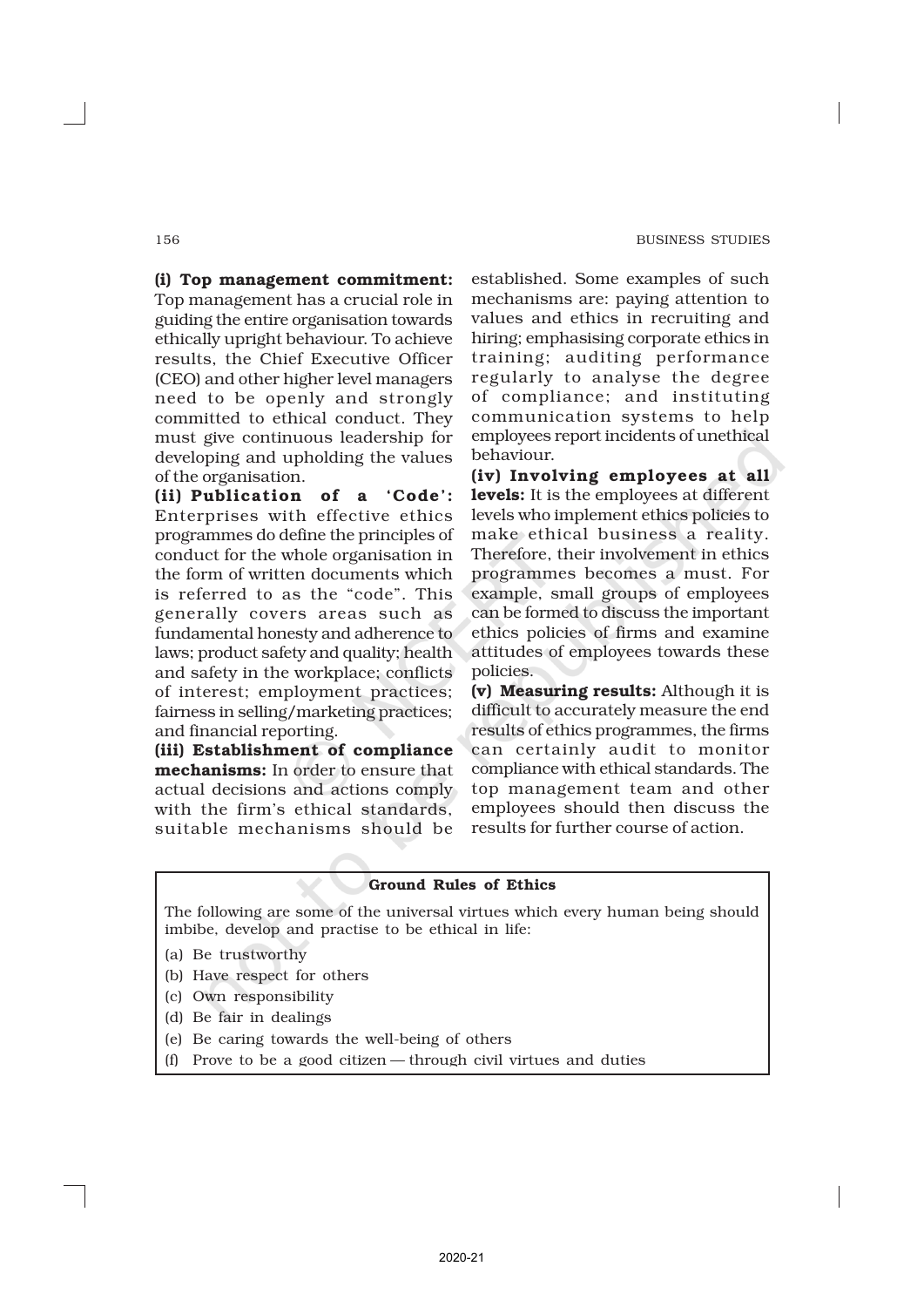(i) Top management commitment: Top management has a crucial role in guiding the entire organisation towards ethically upright behaviour. To achieve results, the Chief Executive Officer (CEO) and other higher level managers need to be openly and strongly committed to ethical conduct. They must give continuous leadership for developing and upholding the values of the organisation.

(ii) Publication of a 'Code': Enterprises with effective ethics programmes do define the principles of conduct for the whole organisation in the form of written documents which is referred to as the "code". This generally covers areas such as fundamental honesty and adherence to laws; product safety and quality; health and safety in the workplace; conflicts of interest; employment practices; fairness in selling/marketing practices; and financial reporting.

(iii) Establishment of compliance mechanisms: In order to ensure that actual decisions and actions comply with the firm's ethical standards, suitable mechanisms should be

established. Some examples of such mechanisms are: paying attention to values and ethics in recruiting and hiring; emphasising corporate ethics in training; auditing performance regularly to analyse the degree of compliance; and instituting communication systems to help employees report incidents of unethical behaviour.

(iv) Involving employees at all levels: It is the employees at different levels who implement ethics policies to make ethical business a reality. Therefore, their involvement in ethics programmes becomes a must. For example, small groups of employees can be formed to discuss the important ethics policies of firms and examine attitudes of employees towards these policies.

(v) Measuring results: Although it is difficult to accurately measure the end results of ethics programmes, the firms can certainly audit to monitor compliance with ethical standards. The top management team and other employees should then discuss the results for further course of action.

### Ground Rules of Ethics

The following are some of the universal virtues which every human being should imbibe, develop and practise to be ethical in life:

- (a) Be trustworthy
- (b) Have respect for others
- (c) Own responsibility
- (d) Be fair in dealings
- (e) Be caring towards the well-being of others
- (f) Prove to be a good citizen through civil virtues and duties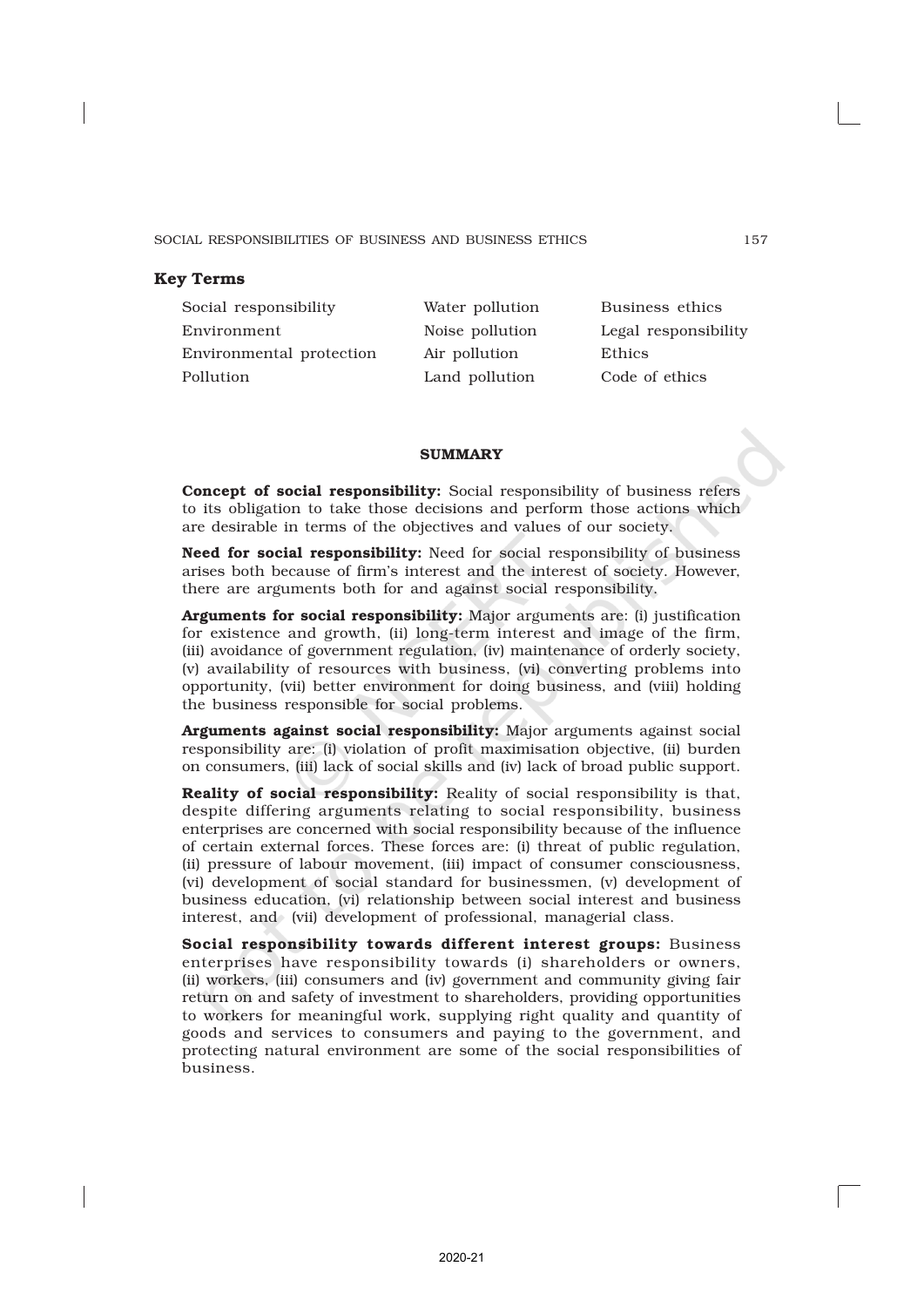# Key Terms

Social responsibility Water pollution Business ethics Environment Noise pollution Legal responsibility Environmental protection Air pollution Ethics Pollution Land pollution Code of ethics

### **SUMMARY**

Concept of social responsibility: Social responsibility of business refers to its obligation to take those decisions and perform those actions which are desirable in terms of the objectives and values of our society.

Need for social responsibility: Need for social responsibility of business arises both because of firm's interest and the interest of society. However, there are arguments both for and against social responsibility.

Arguments for social responsibility: Major arguments are: (i) justification for existence and growth, (ii) long-term interest and image of the firm, (iii) avoidance of government regulation, (iv) maintenance of orderly society, (v) availability of resources with business, (vi) converting problems into opportunity, (vii) better environment for doing business, and (viii) holding the business responsible for social problems.

Arguments against social responsibility: Major arguments against social responsibility are: (i) violation of profit maximisation objective, (ii) burden on consumers, (iii) lack of social skills and (iv) lack of broad public support.

Reality of social responsibility: Reality of social responsibility is that, despite differing arguments relating to social responsibility, business enterprises are concerned with social responsibility because of the influence of certain external forces. These forces are: (i) threat of public regulation, (ii) pressure of labour movement, (iii) impact of consumer consciousness, (vi) development of social standard for businessmen, (v) development of business education, (vi) relationship between social interest and business interest, and (vii) development of professional, managerial class.

Social responsibility towards different interest groups: Business enterprises have responsibility towards (i) shareholders or owners, (ii) workers, (iii) consumers and (iv) government and community giving fair return on and safety of investment to shareholders, providing opportunities to workers for meaningful work, supplying right quality and quantity of goods and services to consumers and paying to the government, and protecting natural environment are some of the social responsibilities of business.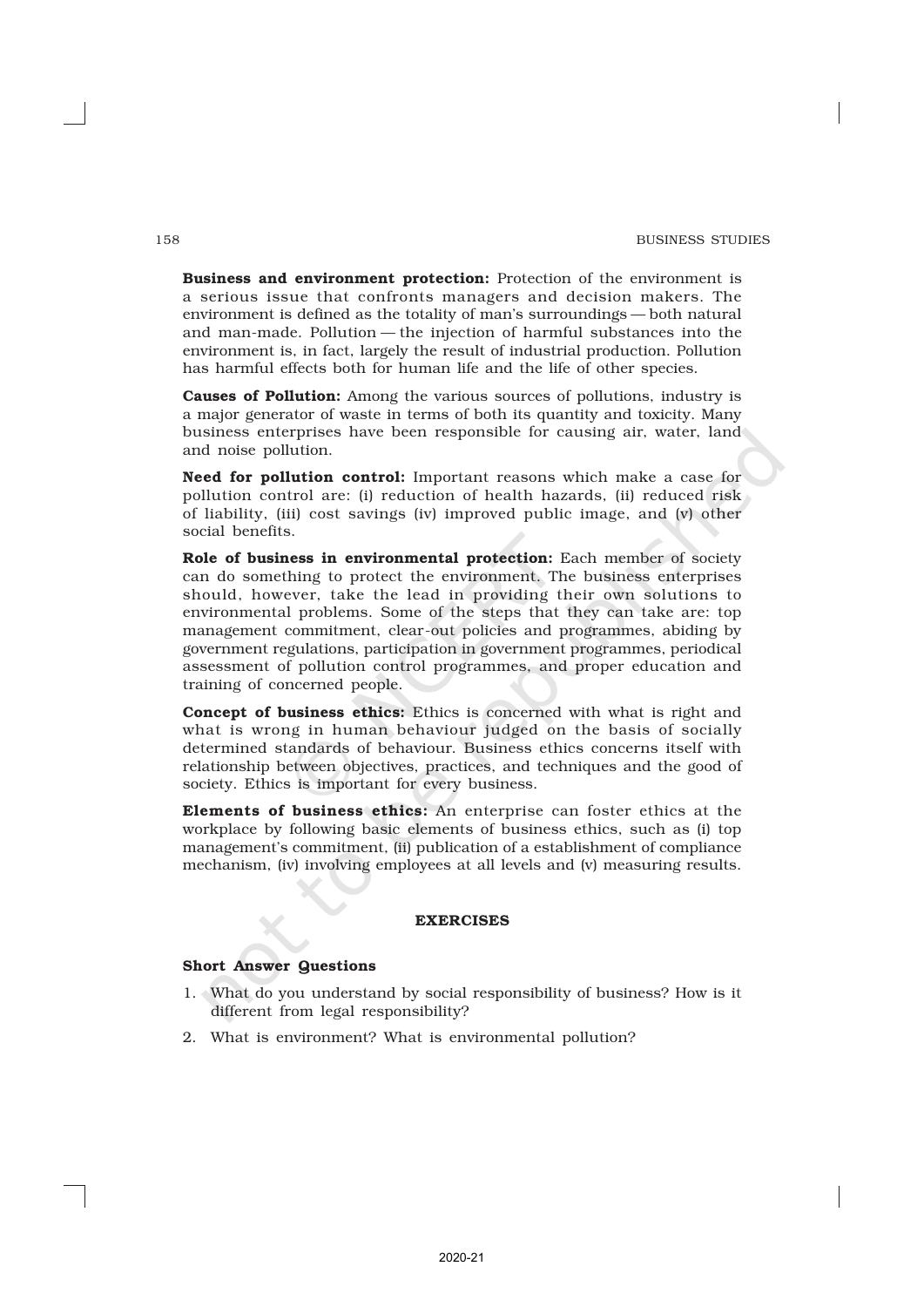Business and environment protection: Protection of the environment is a serious issue that confronts managers and decision makers. The environment is defined as the totality of man's surroundings — both natural and man-made. Pollution — the injection of harmful substances into the environment is, in fact, largely the result of industrial production. Pollution has harmful effects both for human life and the life of other species.

Causes of Pollution: Among the various sources of pollutions, industry is a major generator of waste in terms of both its quantity and toxicity. Many business enterprises have been responsible for causing air, water, land and noise pollution.

Need for pollution control: Important reasons which make a case for pollution control are: (i) reduction of health hazards, (ii) reduced risk of liability, (iii) cost savings (iv) improved public image, and (v) other social benefits.

Role of business in environmental protection: Each member of society can do something to protect the environment. The business enterprises should, however, take the lead in providing their own solutions to environmental problems. Some of the steps that they can take are: top management commitment, clear-out policies and programmes, abiding by government regulations, participation in government programmes, periodical assessment of pollution control programmes, and proper education and training of concerned people.

Concept of business ethics: Ethics is concerned with what is right and what is wrong in human behaviour judged on the basis of socially determined standards of behaviour. Business ethics concerns itself with relationship between objectives, practices, and techniques and the good of society. Ethics is important for every business.

Elements of business ethics: An enterprise can foster ethics at the workplace by following basic elements of business ethics, such as (i) top management's commitment, (ii) publication of a establishment of compliance mechanism, (iv) involving employees at all levels and (v) measuring results.

### EXERCISES

### Short Answer Questions

- 1. What do you understand by social responsibility of business? How is it different from legal responsibility?
- 2. What is environment? What is environmental pollution?